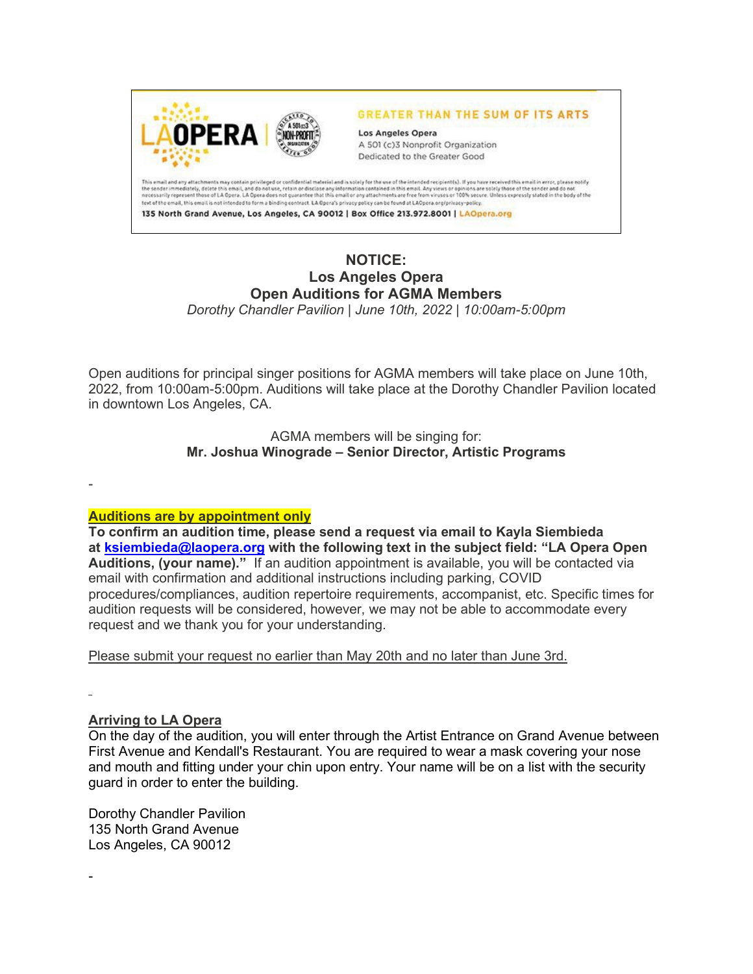

## **NOTICE: Los Angeles Opera Open Auditions for AGMA Members**

*Dorothy Chandler Pavilion | June 10th, 2022 | 10:00am-5:00pm*

Open auditions for principal singer positions for AGMA members will take place on June 10th, 2022, from 10:00am-5:00pm. Auditions will take place at the Dorothy Chandler Pavilion located in downtown Los Angeles, CA.

> AGMA members will be singing for: **Mr. Joshua Winograde – Senior Director, Artistic Programs**

### **Auditions are by appointment only**

**To confirm an audition time, please send a request via email to Kayla Siembieda at [ksiembieda@laopera.org](mailto:ksiembieda@laopera.org) with the following text in the subject field: "LA Opera Open Auditions, (your name)."** If an audition appointment is available, you will be contacted via email with confirmation and additional instructions including parking, COVID procedures/compliances, audition repertoire requirements, accompanist, etc. Specific times for audition requests will be considered, however, we may not be able to accommodate every request and we thank you for your understanding.

Please submit your request no earlier than May 20th and no later than June 3rd.

-

-

## **Arriving to LA Opera**

On the day of the audition, you will enter through the Artist Entrance on Grand Avenue between First Avenue and Kendall's Restaurant. You are required to wear a mask covering your nose and mouth and fitting under your chin upon entry. Your name will be on a list with the security guard in order to enter the building.

Dorothy Chandler Pavilion 135 North Grand Avenue Los Angeles, CA 90012